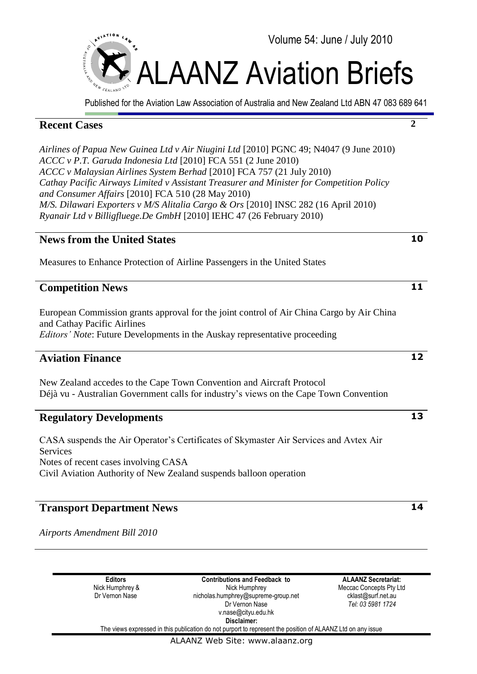

Published for the Aviation Law Association of Australia and New Zealand Ltd ABN 47 083 689 641

## **Recent Cases**

*Airlines of Papua New Guinea Ltd v Air Niugini Ltd* [2010] PGNC 49; N4047 (9 June 2010) *ACCC v P.T. Garuda Indonesia Ltd* [2010] FCA 551 (2 June 2010) *ACCC v Malaysian Airlines System Berhad* [2010] FCA 757 (21 July 2010) *Cathay Pacific Airways Limited v Assistant Treasurer and Minister for Competition Policy and Consumer Affairs* [2010] FCA 510 (28 May 2010) *M/S. Dilawari Exporters v M/S Alitalia Cargo & Ors* [2010] INSC 282 (16 April 2010) *Ryanair Ltd v Billigfluege.De GmbH* [2010] IEHC 47 (26 February 2010)

## **News from the United States**

Measures to Enhance Protection of Airline Passengers in the United States

## **Competition News**

European Commission grants approval for the joint control of Air China Cargo by Air China and Cathay Pacific Airlines *Editors' Note*: Future Developments in the Auskay representative proceeding

## **Aviation Finance**

New Zealand accedes to the Cape Town Convention and Aircraft Protocol Déjà vu - Australian Government calls for industry's views on the Cape Town Convention

## **Regulatory Developments**

CASA suspends the Air Operator"s Certificates of Skymaster Air Services and Avtex Air Services Notes of recent cases involving CASA Civil Aviation Authority of New Zealand suspends balloon operation

## **Transport Department News**

*Airports Amendment Bill 2010*

**Editors** Nick Humphrey & Dr Vernon Nase

**Contributions and Feedback to** Nick Humphrey nicholas.humphrey@supreme-group.net Dr Vernon Nase v.nase@cityu.edu.hk **Disclaimer:**

**ALAANZ Secretariat:** Meccac Concepts Pty Ltd cklast@surf.net.au *Tel: 03 5981 1724*

The views expressed in this publication do not purport to represent the position of ALAANZ Ltd on any issue



**2**

**10**

**11**

**12**

**13**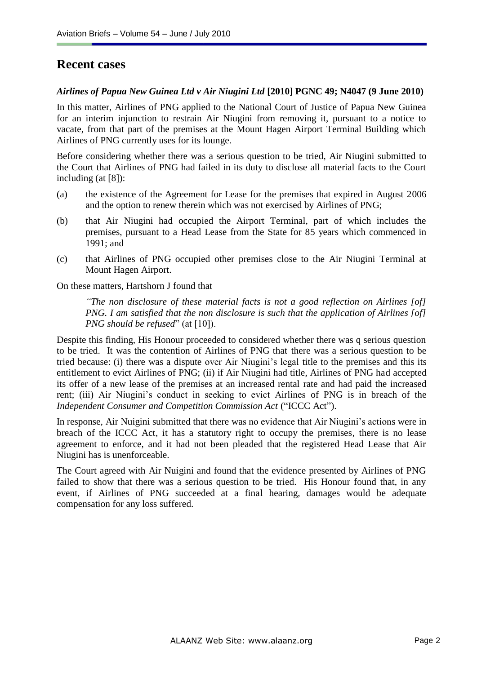## **Recent cases**

#### *Airlines of Papua New Guinea Ltd v Air Niugini Ltd* **[2010] PGNC 49; N4047 (9 June 2010)**

In this matter, Airlines of PNG applied to the National Court of Justice of Papua New Guinea for an interim injunction to restrain Air Niugini from removing it, pursuant to a notice to vacate, from that part of the premises at the Mount Hagen Airport Terminal Building which Airlines of PNG currently uses for its lounge.

Before considering whether there was a serious question to be tried, Air Niugini submitted to the Court that Airlines of PNG had failed in its duty to disclose all material facts to the Court including (at [8]):

- (a) the existence of the Agreement for Lease for the premises that expired in August 2006 and the option to renew therein which was not exercised by Airlines of PNG;
- (b) that Air Niugini had occupied the Airport Terminal, part of which includes the premises, pursuant to a Head Lease from the State for 85 years which commenced in 1991; and
- (c) that Airlines of PNG occupied other premises close to the Air Niugini Terminal at Mount Hagen Airport.

On these matters, Hartshorn J found that

*"The non disclosure of these material facts is not a good reflection on Airlines [of] PNG. I am satisfied that the non disclosure is such that the application of Airlines [of] PNG should be refused*" (at [10]).

Despite this finding, His Honour proceeded to considered whether there was q serious question to be tried. It was the contention of Airlines of PNG that there was a serious question to be tried because: (i) there was a dispute over Air Niugini"s legal title to the premises and this its entitlement to evict Airlines of PNG; (ii) if Air Niugini had title, Airlines of PNG had accepted its offer of a new lease of the premises at an increased rental rate and had paid the increased rent; (iii) Air Niugini"s conduct in seeking to evict Airlines of PNG is in breach of the *Independent Consumer and Competition Commission Act* ("ICCC Act").

In response, Air Nuigini submitted that there was no evidence that Air Niugini's actions were in breach of the ICCC Act, it has a statutory right to occupy the premises, there is no lease agreement to enforce, and it had not been pleaded that the registered Head Lease that Air Niugini has is unenforceable.

The Court agreed with Air Nuigini and found that the evidence presented by Airlines of PNG failed to show that there was a serious question to be tried. His Honour found that, in any event, if Airlines of PNG succeeded at a final hearing, damages would be adequate compensation for any loss suffered.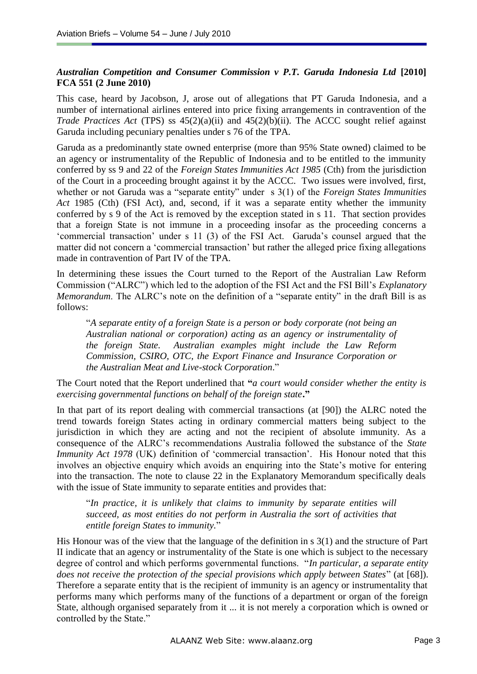### *Australian Competition and Consumer Commission v P.T. Garuda Indonesia Ltd* **[2010] FCA 551 (2 June 2010)**

This case, heard by Jacobson, J, arose out of allegations that PT Garuda Indonesia, and a number of international airlines entered into price fixing arrangements in contravention of the *Trade Practices Act* (TPS) ss  $45(2)(a)(ii)$  and  $45(2)(b)(ii)$ . The ACCC sought relief against Garuda including pecuniary penalties under s 76 of the TPA.

Garuda as a predominantly state owned enterprise (more than 95% State owned) claimed to be an agency or instrumentality of the Republic of Indonesia and to be entitled to the immunity conferred by ss 9 and 22 of the *Foreign States Immunities Act 1985* (Cth) from the jurisdiction of the Court in a proceeding brought against it by the ACCC. Two issues were involved, first, whether or not Garuda was a "separate entity" under s 3(1) of the *Foreign States Immunities Act* 1985 (Cth) (FSI Act), and, second, if it was a separate entity whether the immunity conferred by s 9 of the Act is removed by the exception stated in s 11. That section provides that a foreign State is not immune in a proceeding insofar as the proceeding concerns a "commercial transaction" under s 11 (3) of the FSI Act. Garuda"s counsel argued that the matter did not concern a 'commercial transaction' but rather the alleged price fixing allegations made in contravention of Part IV of the TPA.

In determining these issues the Court turned to the Report of the Australian Law Reform Commission ("ALRC") which led to the adoption of the FSI Act and the FSI Bill"s *Explanatory Memorandum*. The ALRC's note on the definition of a "separate entity" in the draft Bill is as follows:

"*A separate entity of a foreign State is a person or body corporate (not being an Australian national or corporation) acting as an agency or instrumentality of the foreign State. Australian examples might include the Law Reform Commission, CSIRO, OTC, the Export Finance and Insurance Corporation or the Australian Meat and Live-stock Corporation*."

The Court noted that the Report underlined that **"***a court would consider whether the entity is exercising governmental functions on behalf of the foreign state***."**

In that part of its report dealing with commercial transactions (at [90]) the ALRC noted the trend towards foreign States acting in ordinary commercial matters being subject to the jurisdiction in which they are acting and not the recipient of absolute immunity. As a consequence of the ALRC"s recommendations Australia followed the substance of the *State Immunity Act 1978* (UK) definition of "commercial transaction". His Honour noted that this involves an objective enquiry which avoids an enquiring into the State"s motive for entering into the transaction. The note to clause 22 in the Explanatory Memorandum specifically deals with the issue of State immunity to separate entities and provides that:

"*In practice, it is unlikely that claims to immunity by separate entities will succeed, as most entities do not perform in Australia the sort of activities that entitle foreign States to immunity.*"

His Honour was of the view that the language of the definition in s 3(1) and the structure of Part II indicate that an agency or instrumentality of the State is one which is subject to the necessary degree of control and which performs governmental functions. "*In particular, a separate entity does not receive the protection of the special provisions which apply between States*" (at [68]). Therefore a separate entity that is the recipient of immunity is an agency or instrumentality that performs many which performs many of the functions of a department or organ of the foreign State, although organised separately from it ... it is not merely a corporation which is owned or controlled by the State."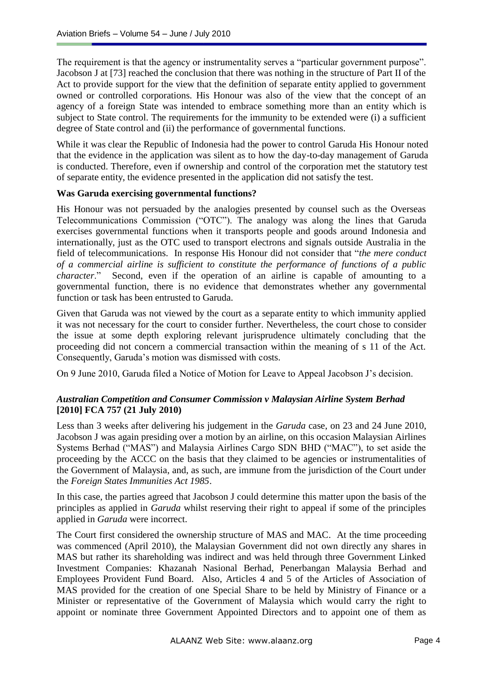The requirement is that the agency or instrumentality serves a "particular government purpose". Jacobson J at [73] reached the conclusion that there was nothing in the structure of Part II of the Act to provide support for the view that the definition of separate entity applied to government owned or controlled corporations. His Honour was also of the view that the concept of an agency of a foreign State was intended to embrace something more than an entity which is subject to State control. The requirements for the immunity to be extended were (i) a sufficient degree of State control and (ii) the performance of governmental functions.

While it was clear the Republic of Indonesia had the power to control Garuda His Honour noted that the evidence in the application was silent as to how the day-to-day management of Garuda is conducted. Therefore, even if ownership and control of the corporation met the statutory test of separate entity, the evidence presented in the application did not satisfy the test.

#### **Was Garuda exercising governmental functions?**

His Honour was not persuaded by the analogies presented by counsel such as the Overseas Telecommunications Commission ("OTC"). The analogy was along the lines that Garuda exercises governmental functions when it transports people and goods around Indonesia and internationally, just as the OTC used to transport electrons and signals outside Australia in the field of telecommunications. In response His Honour did not consider that "*the mere conduct of a commercial airline is sufficient to constitute the performance of functions of a public character*." Second, even if the operation of an airline is capable of amounting to a governmental function, there is no evidence that demonstrates whether any governmental function or task has been entrusted to Garuda.

Given that Garuda was not viewed by the court as a separate entity to which immunity applied it was not necessary for the court to consider further. Nevertheless, the court chose to consider the issue at some depth exploring relevant jurisprudence ultimately concluding that the proceeding did not concern a commercial transaction within the meaning of s 11 of the Act. Consequently, Garuda"s motion was dismissed with costs.

On 9 June 2010, Garuda filed a Notice of Motion for Leave to Appeal Jacobson J"s decision.

### *Australian Competition and Consumer Commission v Malaysian Airline System Berhad* **[2010] FCA 757 (21 July 2010)**

Less than 3 weeks after delivering his judgement in the *Garuda* case, on 23 and 24 June 2010, Jacobson J was again presiding over a motion by an airline, on this occasion Malaysian Airlines Systems Berhad ("MAS") and Malaysia Airlines Cargo SDN BHD ("MAC"), to set aside the proceeding by the ACCC on the basis that they claimed to be agencies or instrumentalities of the Government of Malaysia, and, as such, are immune from the jurisdiction of the Court under the *Foreign States Immunities Act 1985*.

In this case, the parties agreed that Jacobson J could determine this matter upon the basis of the principles as applied in *Garuda* whilst reserving their right to appeal if some of the principles applied in *Garuda* were incorrect.

The Court first considered the ownership structure of MAS and MAC. At the time proceeding was commenced (April 2010), the Malaysian Government did not own directly any shares in MAS but rather its shareholding was indirect and was held through three Government Linked Investment Companies: Khazanah Nasional Berhad, Penerbangan Malaysia Berhad and Employees Provident Fund Board. Also, Articles 4 and 5 of the Articles of Association of MAS provided for the creation of one Special Share to be held by Ministry of Finance or a Minister or representative of the Government of Malaysia which would carry the right to appoint or nominate three Government Appointed Directors and to appoint one of them as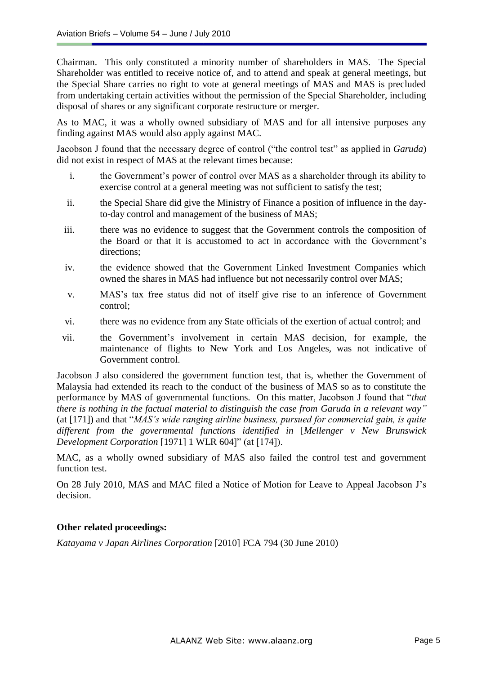Chairman. This only constituted a minority number of shareholders in MAS. The Special Shareholder was entitled to receive notice of, and to attend and speak at general meetings, but the Special Share carries no right to vote at general meetings of MAS and MAS is precluded from undertaking certain activities without the permission of the Special Shareholder, including disposal of shares or any significant corporate restructure or merger.

As to MAC, it was a wholly owned subsidiary of MAS and for all intensive purposes any finding against MAS would also apply against MAC.

Jacobson J found that the necessary degree of control ("the control test" as applied in *Garuda*) did not exist in respect of MAS at the relevant times because:

- i. the Government's power of control over MAS as a shareholder through its ability to exercise control at a general meeting was not sufficient to satisfy the test;
- ii. the Special Share did give the Ministry of Finance a position of influence in the dayto-day control and management of the business of MAS;
- iii. there was no evidence to suggest that the Government controls the composition of the Board or that it is accustomed to act in accordance with the Government"s directions:
- iv. the evidence showed that the Government Linked Investment Companies which owned the shares in MAS had influence but not necessarily control over MAS;
- v. MAS"s tax free status did not of itself give rise to an inference of Government control;
- vi. there was no evidence from any State officials of the exertion of actual control; and
- vii. the Government"s involvement in certain MAS decision, for example, the maintenance of flights to New York and Los Angeles, was not indicative of Government control.

Jacobson J also considered the government function test, that is, whether the Government of Malaysia had extended its reach to the conduct of the business of MAS so as to constitute the performance by MAS of governmental functions. On this matter, Jacobson J found that "*that there is nothing in the factual material to distinguish the case from Garuda in a relevant way"*  (at [171]) and that "*MAS's wide ranging airline business, pursued for commercial gain, is quite different from the governmental functions identified in* [*Mellenger v New Brunswick Development Corporation* [1971] 1 WLR 604]" (at [174]).

MAC, as a wholly owned subsidiary of MAS also failed the control test and government function test.

On 28 July 2010, MAS and MAC filed a Notice of Motion for Leave to Appeal Jacobson J"s decision.

### **Other related proceedings:**

*Katayama v Japan Airlines Corporation* [2010] FCA 794 (30 June 2010)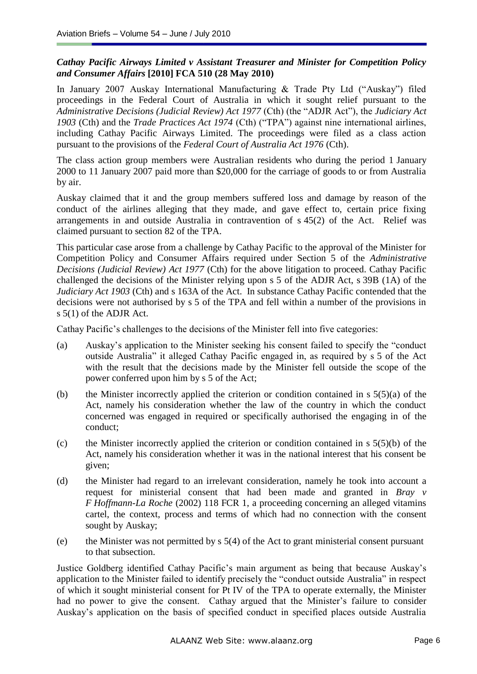### *Cathay Pacific Airways Limited v Assistant Treasurer and Minister for Competition Policy and Consumer Affairs* **[2010] FCA 510 (28 May 2010)**

In January 2007 Auskay International Manufacturing & Trade Pty Ltd ("Auskay") filed proceedings in the Federal Court of Australia in which it sought relief pursuant to the *Administrative Decisions (Judicial Review) Act 1977* (Cth) (the "ADJR Act"), the *Judiciary Act 1903* (Cth) and the *Trade Practices Act 1974* (Cth) ("TPA") against nine international airlines, including Cathay Pacific Airways Limited. The proceedings were filed as a class action pursuant to the provisions of the *Federal Court of Australia Act 1976* (Cth).

The class action group members were Australian residents who during the period 1 January 2000 to 11 January 2007 paid more than \$20,000 for the carriage of goods to or from Australia by air.

Auskay claimed that it and the group members suffered loss and damage by reason of the conduct of the airlines alleging that they made, and gave effect to, certain price fixing arrangements in and outside Australia in contravention of s 45(2) of the Act. Relief was claimed pursuant to section 82 of the TPA.

This particular case arose from a challenge by Cathay Pacific to the approval of the Minister for Competition Policy and Consumer Affairs required under Section 5 of the *Administrative Decisions (Judicial Review) Act 1977* (Cth) for the above litigation to proceed. Cathay Pacific challenged the decisions of the Minister relying upon s 5 of the ADJR Act, s 39B (1A) of the *Judiciary Act 1903* (Cth) and s 163A of the Act. In substance Cathay Pacific contended that the decisions were not authorised by s 5 of the TPA and fell within a number of the provisions in s 5(1) of the ADJR Act.

Cathay Pacific"s challenges to the decisions of the Minister fell into five categories:

- (a) Auskay"s application to the Minister seeking his consent failed to specify the "conduct outside Australia" it alleged Cathay Pacific engaged in, as required by s 5 of the Act with the result that the decisions made by the Minister fell outside the scope of the power conferred upon him by s 5 of the Act;
- (b) the Minister incorrectly applied the criterion or condition contained in  $s \, 5(5)(a)$  of the Act, namely his consideration whether the law of the country in which the conduct concerned was engaged in required or specifically authorised the engaging in of the conduct;
- (c) the Minister incorrectly applied the criterion or condition contained in  $s\ 5(5)(b)$  of the Act, namely his consideration whether it was in the national interest that his consent be given;
- (d) the Minister had regard to an irrelevant consideration, namely he took into account a request for ministerial consent that had been made and granted in *Bray v F Hoffmann-La Roche* (2002) 118 FCR 1, a proceeding concerning an alleged vitamins cartel, the context, process and terms of which had no connection with the consent sought by Auskay;
- (e) the Minister was not permitted by  $s$  5(4) of the Act to grant ministerial consent pursuant to that subsection.

Justice Goldberg identified Cathay Pacific"s main argument as being that because Auskay"s application to the Minister failed to identify precisely the "conduct outside Australia" in respect of which it sought ministerial consent for Pt IV of the TPA to operate externally, the Minister had no power to give the consent. Cathay argued that the Minister's failure to consider Auskay"s application on the basis of specified conduct in specified places outside Australia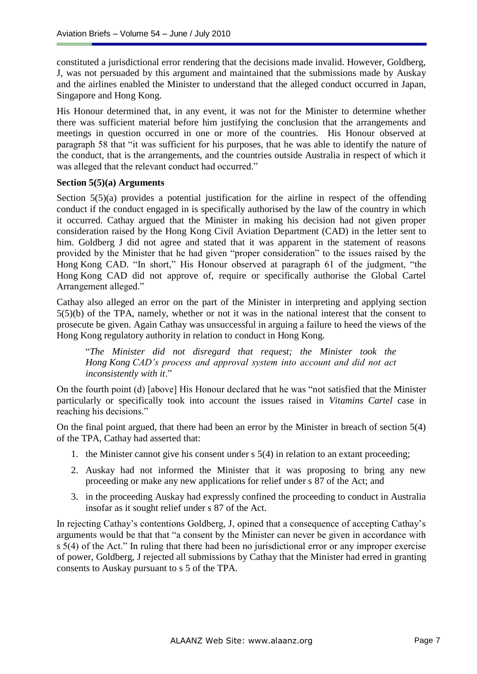constituted a jurisdictional error rendering that the decisions made invalid. However, Goldberg, J, was not persuaded by this argument and maintained that the submissions made by Auskay and the airlines enabled the Minister to understand that the alleged conduct occurred in Japan, Singapore and Hong Kong.

His Honour determined that, in any event, it was not for the Minister to determine whether there was sufficient material before him justifying the conclusion that the arrangements and meetings in question occurred in one or more of the countries. His Honour observed at paragraph 58 that "it was sufficient for his purposes, that he was able to identify the nature of the conduct, that is the arrangements, and the countries outside Australia in respect of which it was alleged that the relevant conduct had occurred."

#### **Section 5(5)(a) Arguments**

Section 5(5)(a) provides a potential justification for the airline in respect of the offending conduct if the conduct engaged in is specifically authorised by the law of the country in which it occurred. Cathay argued that the Minister in making his decision had not given proper consideration raised by the Hong Kong Civil Aviation Department (CAD) in the letter sent to him. Goldberg J did not agree and stated that it was apparent in the statement of reasons provided by the Minister that he had given "proper consideration" to the issues raised by the Hong Kong CAD. "In short," His Honour observed at paragraph 61 of the judgment, "the Hong Kong CAD did not approve of, require or specifically authorise the Global Cartel Arrangement alleged."

Cathay also alleged an error on the part of the Minister in interpreting and applying section 5(5)(b) of the TPA, namely, whether or not it was in the national interest that the consent to prosecute be given. Again Cathay was unsuccessful in arguing a failure to heed the views of the Hong Kong regulatory authority in relation to conduct in Hong Kong.

"*The Minister did not disregard that request; the Minister took the Hong Kong CAD's process and approval system into account and did not act inconsistently with it*."

On the fourth point (d) [above] His Honour declared that he was "not satisfied that the Minister particularly or specifically took into account the issues raised in *Vitamins Cartel* case in reaching his decisions."

On the final point argued, that there had been an error by the Minister in breach of section 5(4) of the TPA, Cathay had asserted that:

- 1. the Minister cannot give his consent under s 5(4) in relation to an extant proceeding;
- 2. Auskay had not informed the Minister that it was proposing to bring any new proceeding or make any new applications for relief under s 87 of the Act; and
- 3. in the proceeding Auskay had expressly confined the proceeding to conduct in Australia insofar as it sought relief under s 87 of the Act.

In rejecting Cathay"s contentions Goldberg, J, opined that a consequence of accepting Cathay"s arguments would be that that "a consent by the Minister can never be given in accordance with s 5(4) of the Act." In ruling that there had been no jurisdictional error or any improper exercise of power, Goldberg, J rejected all submissions by Cathay that the Minister had erred in granting consents to Auskay pursuant to s 5 of the TPA.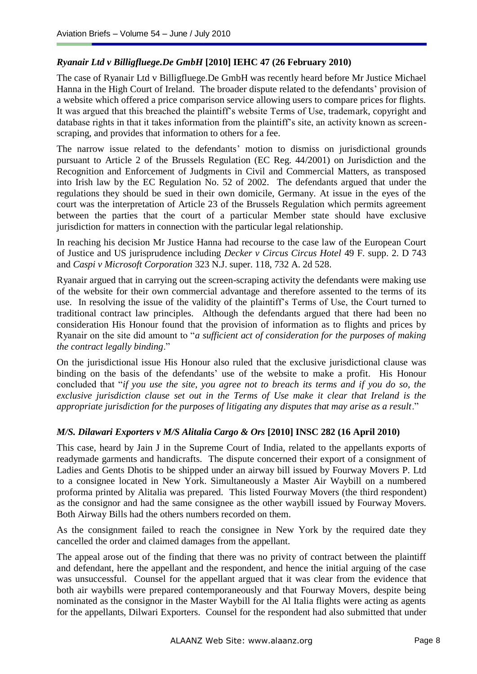#### *Ryanair Ltd v Billigfluege.De GmbH* **[2010] IEHC 47 (26 February 2010)**

The case of Ryanair Ltd v Billigfluege.De GmbH was recently heard before Mr Justice Michael Hanna in the High Court of Ireland. The broader dispute related to the defendants' provision of a website which offered a price comparison service allowing users to compare prices for flights. It was argued that this breached the plaintiff"s website Terms of Use, trademark, copyright and database rights in that it takes information from the plaintiff's site, an activity known as screenscraping, and provides that information to others for a fee.

The narrow issue related to the defendants' motion to dismiss on jurisdictional grounds pursuant to Article 2 of the Brussels Regulation (EC Reg. 44/2001) on Jurisdiction and the Recognition and Enforcement of Judgments in Civil and Commercial Matters, as transposed into Irish law by the EC Regulation No. 52 of 2002. The defendants argued that under the regulations they should be sued in their own domicile, Germany. At issue in the eyes of the court was the interpretation of Article 23 of the Brussels Regulation which permits agreement between the parties that the court of a particular Member state should have exclusive jurisdiction for matters in connection with the particular legal relationship.

In reaching his decision Mr Justice Hanna had recourse to the case law of the European Court of Justice and US jurisprudence including *Decker v Circus Circus Hotel* 49 F. supp. 2. D 743 and *Caspi v Microsoft Corporation* 323 N.J. super. 118, 732 A. 2d 528.

Ryanair argued that in carrying out the screen-scraping activity the defendants were making use of the website for their own commercial advantage and therefore assented to the terms of its use. In resolving the issue of the validity of the plaintiff"s Terms of Use, the Court turned to traditional contract law principles. Although the defendants argued that there had been no consideration His Honour found that the provision of information as to flights and prices by Ryanair on the site did amount to "*a sufficient act of consideration for the purposes of making the contract legally binding*."

On the jurisdictional issue His Honour also ruled that the exclusive jurisdictional clause was binding on the basis of the defendants' use of the website to make a profit. His Honour concluded that "*if you use the site, you agree not to breach its terms and if you do so, the exclusive jurisdiction clause set out in the Terms of Use make it clear that Ireland is the appropriate jurisdiction for the purposes of litigating any disputes that may arise as a result*."

#### *M/S. Dilawari Exporters v M/S Alitalia Cargo & Ors* **[2010] INSC 282 (16 April 2010)**

This case, heard by Jain J in the Supreme Court of India, related to the appellants exports of readymade garments and handicrafts. The dispute concerned their export of a consignment of Ladies and Gents Dhotis to be shipped under an airway bill issued by Fourway Movers P. Ltd to a consignee located in New York. Simultaneously a Master Air Waybill on a numbered proforma printed by Alitalia was prepared. This listed Fourway Movers (the third respondent) as the consignor and had the same consignee as the other waybill issued by Fourway Movers. Both Airway Bills had the others numbers recorded on them.

As the consignment failed to reach the consignee in New York by the required date they cancelled the order and claimed damages from the appellant.

The appeal arose out of the finding that there was no privity of contract between the plaintiff and defendant, here the appellant and the respondent, and hence the initial arguing of the case was unsuccessful. Counsel for the appellant argued that it was clear from the evidence that both air waybills were prepared contemporaneously and that Fourway Movers, despite being nominated as the consignor in the Master Waybill for the Al Italia flights were acting as agents for the appellants, Dilwari Exporters. Counsel for the respondent had also submitted that under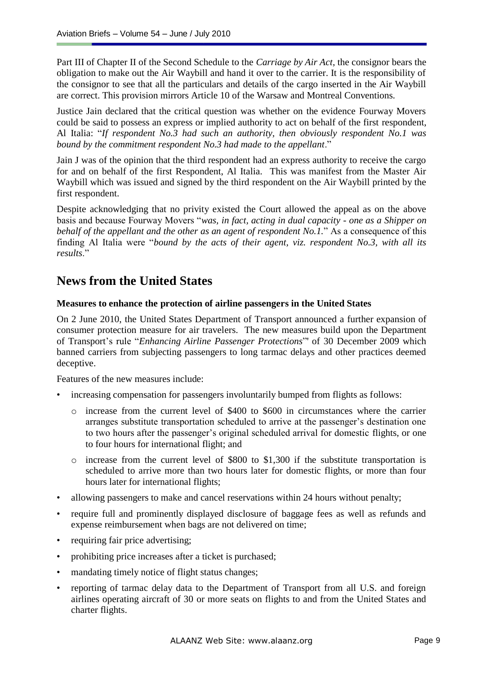Part III of Chapter II of the Second Schedule to the *Carriage by Air Act*, the consignor bears the obligation to make out the Air Waybill and hand it over to the carrier. It is the responsibility of the consignor to see that all the particulars and details of the cargo inserted in the Air Waybill are correct. This provision mirrors Article 10 of the Warsaw and Montreal Conventions.

Justice Jain declared that the critical question was whether on the evidence Fourway Movers could be said to possess an express or implied authority to act on behalf of the first respondent, Al Italia: "*If respondent No.3 had such an authority, then obviously respondent No.1 was bound by the commitment respondent No.3 had made to the appellant*."

Jain J was of the opinion that the third respondent had an express authority to receive the cargo for and on behalf of the first Respondent, Al Italia. This was manifest from the Master Air Waybill which was issued and signed by the third respondent on the Air Waybill printed by the first respondent.

Despite acknowledging that no privity existed the Court allowed the appeal as on the above basis and because Fourway Movers "*was, in fact, acting in dual capacity - one as a Shipper on behalf of the appellant and the other as an agent of respondent No.1.*" As a consequence of this finding Al Italia were "*bound by the acts of their agent, viz. respondent No.3, with all its results*."

# **News from the United States**

#### **Measures to enhance the protection of airline passengers in the United States**

On 2 June 2010, the United States Department of Transport announced a further expansion of consumer protection measure for air travelers. The new measures build upon the Department of Transport's rule "*Enhancing Airline Passenger Protections*" of 30 December 2009 which banned carriers from subjecting passengers to long tarmac delays and other practices deemed deceptive.

Features of the new measures include:

- increasing compensation for passengers involuntarily bumped from flights as follows:
	- o increase from the current level of \$400 to \$600 in circumstances where the carrier arranges substitute transportation scheduled to arrive at the passenger"s destination one to two hours after the passenger"s original scheduled arrival for domestic flights, or one to four hours for international flight; and
	- o increase from the current level of \$800 to \$1,300 if the substitute transportation is scheduled to arrive more than two hours later for domestic flights, or more than four hours later for international flights;
- allowing passengers to make and cancel reservations within 24 hours without penalty;
- require full and prominently displayed disclosure of baggage fees as well as refunds and expense reimbursement when bags are not delivered on time;
- requiring fair price advertising;
- prohibiting price increases after a ticket is purchased;
- mandating timely notice of flight status changes;
- reporting of tarmac delay data to the Department of Transport from all U.S. and foreign airlines operating aircraft of 30 or more seats on flights to and from the United States and charter flights.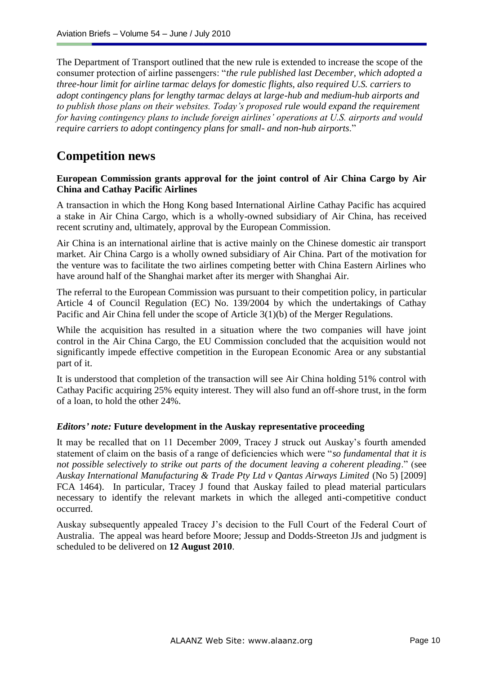The Department of Transport outlined that the new rule is extended to increase the scope of the consumer protection of airline passengers: "*the rule published last December, which adopted a three-hour limit for airline tarmac delays for domestic flights, also required U.S. carriers to adopt contingency plans for lengthy tarmac delays at large-hub and medium-hub airports and to publish those plans on their websites. Today's proposed rule would expand the requirement for having contingency plans to include foreign airlines' operations at U.S. airports and would require carriers to adopt contingency plans for small- and non-hub airports*."

# **Competition news**

#### **European Commission grants approval for the joint control of Air China Cargo by Air China and Cathay Pacific Airlines**

A transaction in which the Hong Kong based International Airline Cathay Pacific has acquired a stake in Air China Cargo, which is a wholly-owned subsidiary of Air China, has received recent scrutiny and, ultimately, approval by the European Commission.

Air China is an international airline that is active mainly on the Chinese domestic air transport market. Air China Cargo is a wholly owned subsidiary of Air China. Part of the motivation for the venture was to facilitate the two airlines competing better with China Eastern Airlines who have around half of the Shanghai market after its merger with Shanghai Air.

The referral to the European Commission was pursuant to their competition policy, in particular Article 4 of Council Regulation (EC) No. 139/2004 by which the undertakings of Cathay Pacific and Air China fell under the scope of Article 3(1)(b) of the Merger Regulations.

While the acquisition has resulted in a situation where the two companies will have joint control in the Air China Cargo, the EU Commission concluded that the acquisition would not significantly impede effective competition in the European Economic Area or any substantial part of it.

It is understood that completion of the transaction will see Air China holding 51% control with Cathay Pacific acquiring 25% equity interest. They will also fund an off-shore trust, in the form of a loan, to hold the other 24%.

#### *Editors' note:* **Future development in the Auskay representative proceeding**

It may be recalled that on 11 December 2009, Tracey J struck out Auskay"s fourth amended statement of claim on the basis of a range of deficiencies which were "*so fundamental that it is not possible selectively to strike out parts of the document leaving a coherent pleading*." (see *Auskay International Manufacturing & Trade Pty Ltd v Qantas Airways Limited* (No 5) [2009] FCA 1464). In particular, Tracey J found that Auskay failed to plead material particulars necessary to identify the relevant markets in which the alleged anti-competitive conduct occurred.

Auskay subsequently appealed Tracey J"s decision to the Full Court of the Federal Court of Australia. The appeal was heard before Moore; Jessup and Dodds-Streeton JJs and judgment is scheduled to be delivered on **12 August 2010**.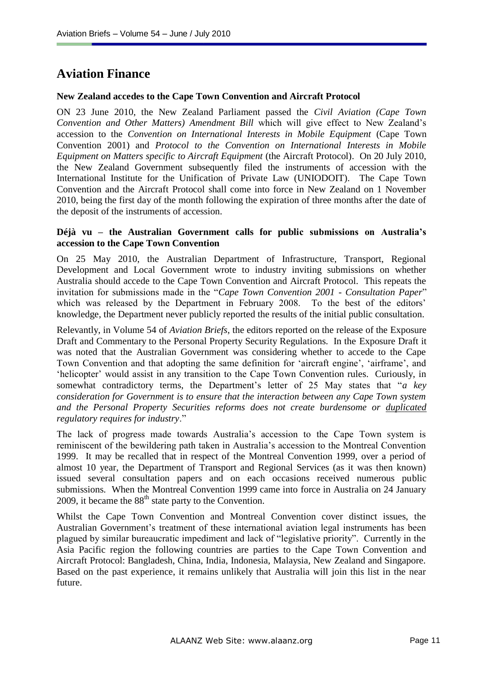# **Aviation Finance**

#### **New Zealand accedes to the Cape Town Convention and Aircraft Protocol**

ON 23 June 2010, the New Zealand Parliament passed the *Civil Aviation (Cape Town Convention and Other Matters) Amendment Bill* which will give effect to New Zealand"s accession to the *Convention on International Interests in Mobile Equipment* (Cape Town Convention 2001) and *Protocol to the Convention on International Interests in Mobile Equipment on Matters specific to Aircraft Equipment* (the Aircraft Protocol). On 20 July 2010, the New Zealand Government subsequently filed the instruments of accession with the International Institute for the Unification of Private Law (UNIODOIT). The Cape Town Convention and the Aircraft Protocol shall come into force in New Zealand on 1 November 2010, being the first day of the month following the expiration of three months after the date of the deposit of the instruments of accession.

#### **Déjà vu – the Australian Government calls for public submissions on Australia's accession to the Cape Town Convention**

On 25 May 2010, the Australian Department of Infrastructure, Transport, Regional Development and Local Government wrote to industry inviting submissions on whether Australia should accede to the Cape Town Convention and Aircraft Protocol. This repeats the invitation for submissions made in the "*Cape Town Convention 2001 - Consultation Paper*" which was released by the Department in February 2008. To the best of the editors' knowledge, the Department never publicly reported the results of the initial public consultation.

Relevantly, in Volume 54 of *Aviation Briefs*, the editors reported on the release of the Exposure Draft and Commentary to the Personal Property Security Regulations. In the Exposure Draft it was noted that the Australian Government was considering whether to accede to the Cape Town Convention and that adopting the same definition for "aircraft engine", "airframe", and 'helicopter' would assist in any transition to the Cape Town Convention rules. Curiously, in somewhat contradictory terms, the Department"s letter of 25 May states that "*a key consideration for Government is to ensure that the interaction between any Cape Town system and the Personal Property Securities reforms does not create burdensome or duplicated regulatory requires for industry*."

The lack of progress made towards Australia's accession to the Cape Town system is reminiscent of the bewildering path taken in Australia"s accession to the Montreal Convention 1999. It may be recalled that in respect of the Montreal Convention 1999, over a period of almost 10 year, the Department of Transport and Regional Services (as it was then known) issued several consultation papers and on each occasions received numerous public submissions. When the Montreal Convention 1999 came into force in Australia on 24 January 2009, it became the  $88<sup>th</sup>$  state party to the Convention.

Whilst the Cape Town Convention and Montreal Convention cover distinct issues, the Australian Government"s treatment of these international aviation legal instruments has been plagued by similar bureaucratic impediment and lack of "legislative priority". Currently in the Asia Pacific region the following countries are parties to the Cape Town Convention and Aircraft Protocol: Bangladesh, China, India, Indonesia, Malaysia, New Zealand and Singapore. Based on the past experience, it remains unlikely that Australia will join this list in the near future.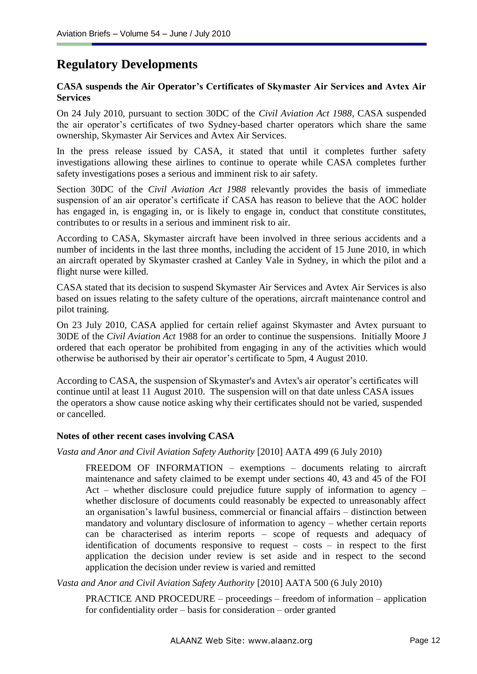# **Regulatory Developments**

#### **CASA suspends the Air Operator's Certificates of Skymaster Air Services and Avtex Air Services**

On 24 July 2010, pursuant to section 30DC of the *Civil Aviation Act 1988*, CASA suspended the air operator's certificates of two Sydney-based charter operators which share the same ownership, Skymaster Air Services and Avtex Air Services.

In the press release issued by CASA, it stated that until it completes further safety investigations allowing these airlines to continue to operate while CASA completes further safety investigations poses a serious and imminent risk to air safety.

Section 30DC of the *Civil Aviation Act 1988* relevantly provides the basis of immediate suspension of an air operator's certificate if CASA has reason to believe that the AOC holder has engaged in, is engaging in, or is likely to engage in, conduct that constitute constitutes, contributes to or results in a serious and imminent risk to air.

According to CASA, Skymaster aircraft have been involved in three serious accidents and a number of incidents in the last three months, including the accident of 15 June 2010, in which an aircraft operated by Skymaster crashed at Canley Vale in Sydney, in which the pilot and a flight nurse were killed.

CASA stated that its decision to suspend Skymaster Air Services and Avtex Air Services is also based on issues relating to the safety culture of the operations, aircraft maintenance control and pilot training.

On 23 July 2010, CASA applied for certain relief against Skymaster and Avtex pursuant to 30DE of the *Civil Aviation Act* 1988 for an order to continue the suspensions. Initially Moore J ordered that each operator be prohibited from engaging in any of the activities which would otherwise be authorised by their air operator"s certificate to 5pm, 4 August 2010.

According to CASA, the suspension of Skymaster's and Avtex's air operator's certificates will continue until at least 11 August 2010. The suspension will on that date unless CASA issues the operators a show cause notice asking why their certificates should not be varied, suspended or cancelled.

#### **Notes of other recent cases involving CASA**

*Vasta and Anor and Civil Aviation Safety Authority* [2010] AATA 499 (6 July 2010)

FREEDOM OF INFORMATION – exemptions – documents relating to aircraft maintenance and safety claimed to be exempt under sections 40, 43 and 45 of the FOI Act – whether disclosure could prejudice future supply of information to agency – whether disclosure of documents could reasonably be expected to unreasonably affect an organisation"s lawful business, commercial or financial affairs – distinction between mandatory and voluntary disclosure of information to agency – whether certain reports can be characterised as interim reports – scope of requests and adequacy of identification of documents responsive to request – costs – in respect to the first application the decision under review is set aside and in respect to the second application the decision under review is varied and remitted

*Vasta and Anor and Civil Aviation Safety Authority* [2010] AATA 500 (6 July 2010)

PRACTICE AND PROCEDURE – proceedings – freedom of information – application for confidentiality order – basis for consideration – order granted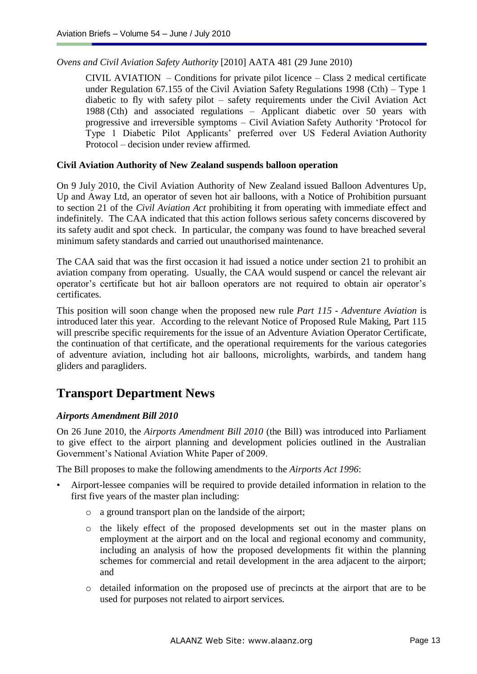#### *Ovens and Civil Aviation Safety Authority* [2010] AATA 481 (29 June 2010)

CIVIL AVIATION – Conditions for private pilot licence – Class 2 medical certificate under [Regulation 67.155](http://www.austlii.edu.au/au/legis/cth/consol_reg/casr1998333/s67.155.html) of the [Civil Aviation Safety](http://www.austlii.edu.au/au/legis/cth/consol_reg/casr1998333/) [Regulations 1998](http://www.austlii.edu.au/au/legis/cth/consol_reg/casr1998333/) (Cth) – Type 1 diabetic to fly with safety pilot – safety requirements under the [Civil Aviation Act](http://www.austlii.edu.au/au/legis/cth/consol_act/caa1988154/)  [1988](http://www.austlii.edu.au/au/legis/cth/consol_act/caa1988154/) (Cth) and associated regulations – Applicant diabetic over 50 years with progressive and irreversible symptoms – Civil Aviation Safety Authority "Protocol for Type 1 Diabetic Pilot Applicants" preferred over US Federal Aviation Authority Protocol – decision under review affirmed.

#### **Civil Aviation Authority of New Zealand suspends balloon operation**

On 9 July 2010, the Civil Aviation Authority of New Zealand issued Balloon Adventures Up, Up and Away Ltd, an operator of seven hot air balloons, with a Notice of Prohibition pursuant to section 21 of the *Civil Aviation Act* prohibiting it from operating with immediate effect and indefinitely. The CAA indicated that this action follows serious safety concerns discovered by its safety audit and spot check. In particular, the company was found to have breached several minimum safety standards and carried out unauthorised maintenance.

The CAA said that was the first occasion it had issued a notice under section 21 to prohibit an aviation company from operating. Usually, the CAA would suspend or cancel the relevant air operator"s certificate but hot air balloon operators are not required to obtain air operator"s certificates.

This position will soon change when the proposed new rule *Part 115 - Adventure Aviation* is introduced later this year. According to the relevant Notice of Proposed Rule Making, Part 115 will prescribe specific requirements for the issue of an Adventure Aviation Operator Certificate, the continuation of that certificate, and the operational requirements for the various categories of adventure aviation, including hot air balloons, microlights, warbirds, and tandem hang gliders and paragliders.

# **Transport Department News**

### *Airports Amendment Bill 2010*

On 26 June 2010, the *Airports Amendment Bill 2010* (the Bill) was introduced into Parliament to give effect to the airport planning and development policies outlined in the Australian Government"s National Aviation White Paper of 2009.

The Bill proposes to make the following amendments to the *Airports Act 1996*:

- Airport-lessee companies will be required to provide detailed information in relation to the first five years of the master plan including:
	- o a ground transport plan on the landside of the airport;
	- o the likely effect of the proposed developments set out in the master plans on employment at the airport and on the local and regional economy and community, including an analysis of how the proposed developments fit within the planning schemes for commercial and retail development in the area adjacent to the airport; and
	- o detailed information on the proposed use of precincts at the airport that are to be used for purposes not related to airport services.